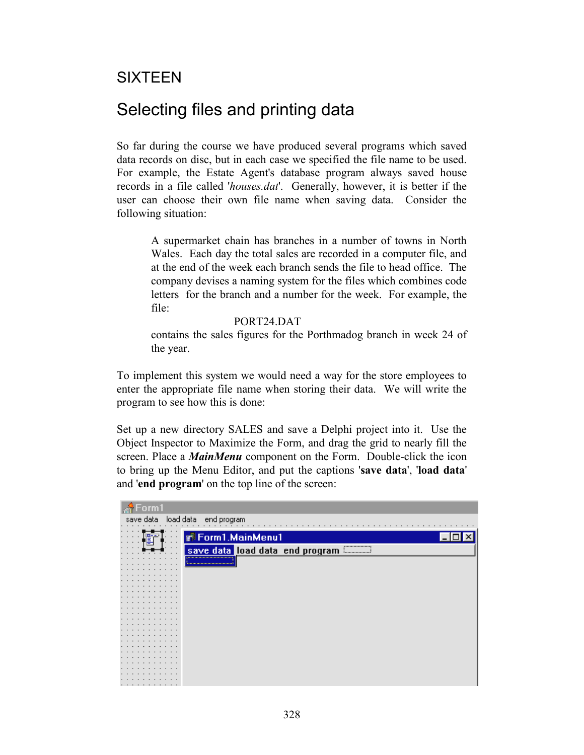### SIXTEEN

## Selecting files and printing data

So far during the course we have produced several programs which saved data records on disc, but in each case we specified the file name to be used. For example, the Estate Agent's database program always saved house records in a file called '*houses.dat*'. Generally, however, it is better if the user can choose their own file name when saving data. Consider the following situation:

A supermarket chain has branches in a number of towns in North Wales. Each day the total sales are recorded in a computer file, and at the end of the week each branch sends the file to head office. The company devises a naming system for the files which combines code letters for the branch and a number for the week. For example, the file:

PORT24 DAT

contains the sales figures for the Porthmadog branch in week 24 of the year.

To implement this system we would need a way for the store employees to enter the appropriate file name when storing their data. We will write the program to see how this is done:

Set up a new directory SALES and save a Delphi project into it. Use the Object Inspector to Maximize the Form, and drag the grid to nearly fill the screen. Place a *MainMenu* component on the Form. Double-click the icon to bring up the Menu Editor, and put the captions '**save data**', '**load data**' and '**end program**' on the top line of the screen:

| Form1                                        |
|----------------------------------------------|
| load data end program<br>save data           |
|                                              |
|                                              |
| <b>Form1.MainMenu1</b><br>$\cdot$ $\cdot$    |
| ,,,,,,,,,,,,,,,,,,,,,                        |
| save data load data end program<br>$\bullet$ |
|                                              |
| <u> Annon mannon mannon mannon</u>           |
|                                              |
|                                              |
|                                              |
|                                              |
|                                              |
|                                              |
|                                              |
|                                              |
|                                              |
|                                              |
|                                              |
|                                              |
|                                              |
|                                              |
|                                              |
|                                              |
|                                              |
|                                              |
|                                              |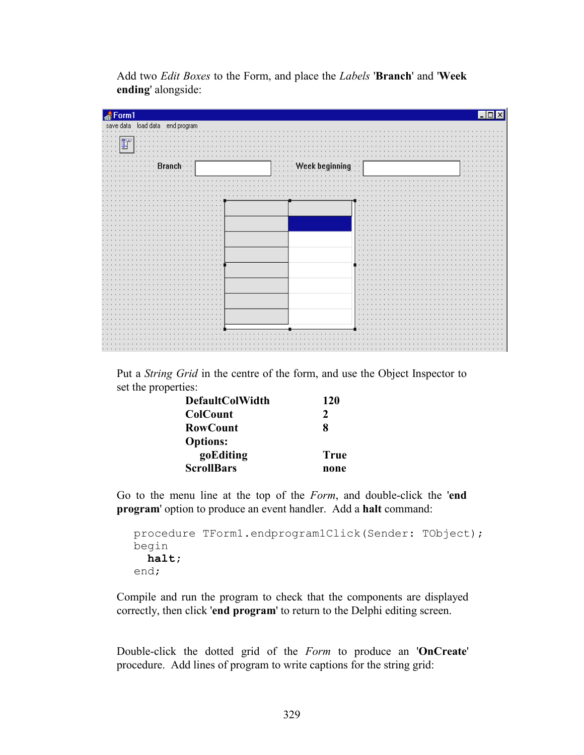Add two *Edit Boxes* to the Form, and place the *Labels* '**Branch**' and '**Week ending**' alongside:

| Form1                                                |                                                    |                                            |
|------------------------------------------------------|----------------------------------------------------|--------------------------------------------|
| save data load data end program                      |                                                    |                                            |
|                                                      | $\mathbf{r}$                                       | $\cdots$<br>$\sim$ $\sim$<br>$\sim$        |
| $\cdots$<br>$\sim$                                   |                                                    |                                            |
| f.<br>$\sim$ $\sim$<br>$\cdot$ $\cdot$               |                                                    |                                            |
| $\sim$                                               |                                                    |                                            |
|                                                      |                                                    |                                            |
| Brancl<br>$\cdot$<br>$\cdots$<br>.<br>$\blacksquare$ | Week beginning<br>$\cdots\cdots\cdots$<br>$\cdots$ | $\cdots$<br>$\cdots$<br>$\sim$<br>$\cdots$ |
| $\cdot$ $\cdot$                                      |                                                    |                                            |
| .<br>$\cdot$ $\cdot$                                 | $\sim$<br>.<br>$\cdot$<br>$\cdot$                  | $\cdot$ $\cdot$<br>$\mathbf{r}$            |
|                                                      |                                                    |                                            |
|                                                      |                                                    |                                            |
|                                                      |                                                    |                                            |
| $\cdots$<br>$\cdot$ $\cdot$ $\cdot$                  | .<br>$\mathbf{r}$<br>$\cdots$                      |                                            |
| $\cdots$<br>$\cdot$                                  | $\cdot$                                            |                                            |
|                                                      | $\mathbf{r}$                                       |                                            |
| $\sim$<br>.                                          | $\cdot$                                            |                                            |
| $\cdot$ $\cdot$<br>.                                 | $\cdot$ $\cdot$                                    |                                            |
|                                                      | $\cdot$                                            |                                            |
|                                                      | $\bullet$<br>$\bullet$                             |                                            |
| $\ddot{\phantom{1}}$<br>$\cdot$ $\cdot$              | $\cdots$                                           |                                            |
|                                                      | $\cdot$                                            |                                            |
| $\cdot$<br>$\cdot$<br>$\cdot$ $\cdot$                | $\cdot$<br>. .<br>$\sim$                           | $\cdot$ $\cdot$                            |
| $\cdot$ $\cdot$<br>$\mathcal{L}_{\mathcal{A}}$       | $\cdots$                                           | $\sim$                                     |
| $\cdot$ $\cdot$                                      | $\cdot$                                            |                                            |
| $\cdot$<br>.<br>$\cdots$                             | $\cdot$ $\cdot$<br>$\cdot$<br>$\sim$<br>$\sim$     | $\cdots$                                   |
| $\cdot$<br>$\cdot$ $\cdot$                           | $\cdot$                                            | $\cdot$ $\cdot$                            |
| $\sim$                                               | $\bullet$                                          |                                            |
| $\mathbf{r}$<br>$\cdots$                             | $\mathbf{r}$                                       | $\cdots$                                   |
| $\cdot$ $\cdot$<br>.<br>$\sim$                       | $\cdot$<br>$\sim$<br>$\cdot$ $\cdot$ $\cdot$       |                                            |
| .                                                    | $\cdot$<br>$\sim$                                  |                                            |
|                                                      | $\mathbf{r}$                                       |                                            |
|                                                      |                                                    |                                            |
|                                                      |                                                    |                                            |
|                                                      |                                                    |                                            |
|                                                      |                                                    |                                            |

Put a *String Grid* in the centre of the form, and use the Object Inspector to set the properties:

| <b>DefaultColWidth</b> | <b>120</b>    |
|------------------------|---------------|
| <b>ColCount</b>        | $\mathcal{L}$ |
| <b>RowCount</b>        | 8             |
| <b>Options:</b>        |               |
| goEditing              | True          |
| <b>ScrollBars</b>      | none          |

Go to the menu line at the top of the *Form*, and double-click the '**end program**' option to produce an event handler. Add a **halt** command:

```
procedure TForm1.endprogram1Click(Sender: TObject);
begin
  halt;
end;
```
Compile and run the program to check that the components are displayed correctly, then click '**end program**' to return to the Delphi editing screen.

Double-click the dotted grid of the *Form* to produce an '**OnCreate**' procedure. Add lines of program to write captions for the string grid: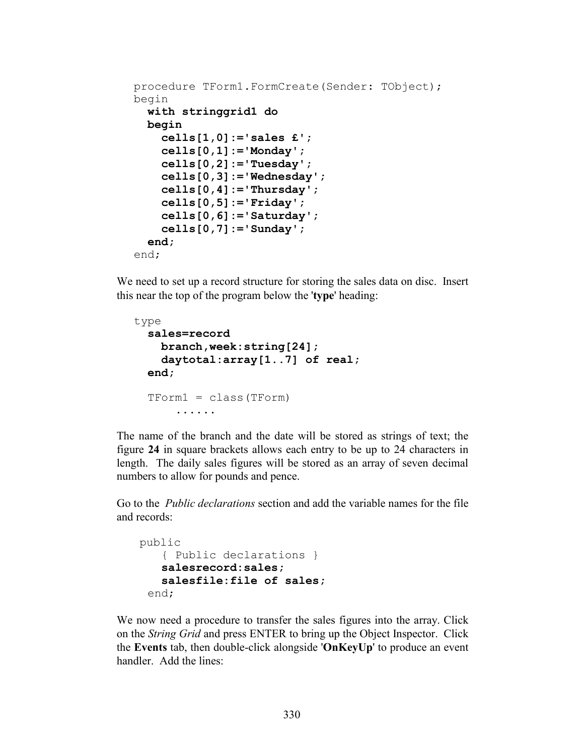```
procedure TForm1.FormCreate(Sender: TObject);
begin
  with stringgrid1 do
   begin
     cells[1,0]:='sales £';
     cells[0,1]:='Monday';
     cells[0,2]:='Tuesday';
     cells[0,3]:='Wednesday';
     cells[0,4]:='Thursday';
     cells[0,5]:='Friday';
     cells[0,6]:='Saturday';
     cells[0,7]:='Sunday';
   end;
end;
```
We need to set up a record structure for storing the sales data on disc. Insert this near the top of the program below the '**type**' heading:

```
type
  sales=record
     branch,week:string[24];
     daytotal:array[1..7] of real;
   end;
   TForm1 = class(TForm)
       ......
```
The name of the branch and the date will be stored as strings of text; the figure **24** in square brackets allows each entry to be up to 24 characters in length. The daily sales figures will be stored as an array of seven decimal numbers to allow for pounds and pence.

Go to the *Public declarations* section and add the variable names for the file and records:

```
 public
    { Public declarations }
    salesrecord:sales;
    salesfile:file of sales;
  end;
```
We now need a procedure to transfer the sales figures into the array. Click on the *String Grid* and press ENTER to bring up the Object Inspector. Click the **Events** tab, then double-click alongside '**OnKeyUp**' to produce an event handler. Add the lines: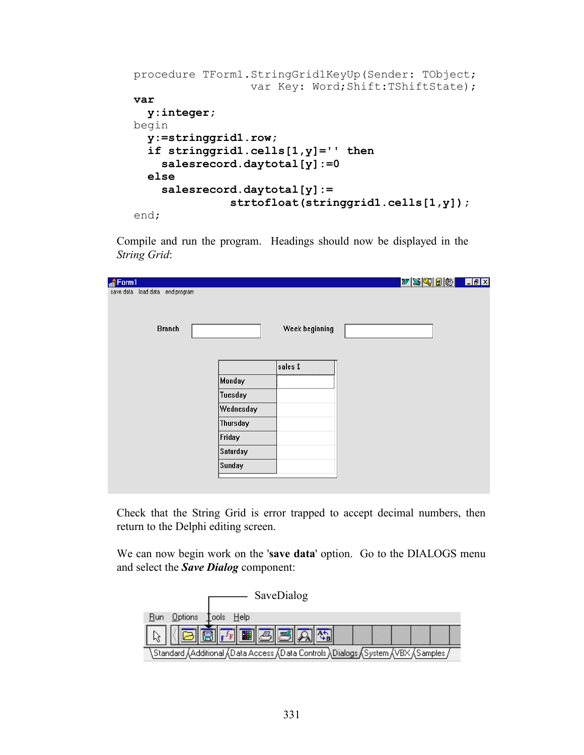```
procedure TForm1.StringGrid1KeyUp(Sender: TObject; 
                  var Key: Word; Shift:TShiftState);
var
   y:integer;
begin
   y:=stringgrid1.row;
   if stringgrid1.cells[1,y]='' then
     salesrecord.daytotal[y]:=0
   else
     salesrecord.daytotal[y]:=
                strtofloat(stringgrid1.cells[1,y]);
end;
```
Compile and run the program. Headings should now be displayed in the *String Grid*:

| Form1                           |           |                | $ w \mathbb{X} \mathbb{Q} \mathbb{B} \mathbb{B} $ . Let $\mathbb{X}$ |
|---------------------------------|-----------|----------------|----------------------------------------------------------------------|
| save data load data end program |           |                |                                                                      |
|                                 |           |                |                                                                      |
| <b>Branch</b>                   |           | Week beginning |                                                                      |
|                                 |           |                |                                                                      |
|                                 |           |                |                                                                      |
|                                 |           | sales £        |                                                                      |
|                                 |           |                |                                                                      |
|                                 | Monday    |                |                                                                      |
|                                 | Tuesday   |                |                                                                      |
|                                 | Wednesday |                |                                                                      |
|                                 | Thursday  |                |                                                                      |
|                                 | Friday    |                |                                                                      |
|                                 | Saturday  |                |                                                                      |
|                                 | Sunday    |                |                                                                      |
|                                 |           |                |                                                                      |
|                                 |           |                |                                                                      |

Check that the String Grid is error trapped to accept decimal numbers, then return to the Delphi editing screen.

We can now begin work on the '**save data**' option. Go to the DIALOGS menu and select the *Save Dialog* component:

| SaveDialog                                                                                 |
|--------------------------------------------------------------------------------------------|
| <b>Options</b><br>Tools Help                                                               |
| Æ.                                                                                         |
| , Standard ,(Additional ,(Data Access ,(Data Controls ),Dialogs ,(System ,(VBX ,(Samples , |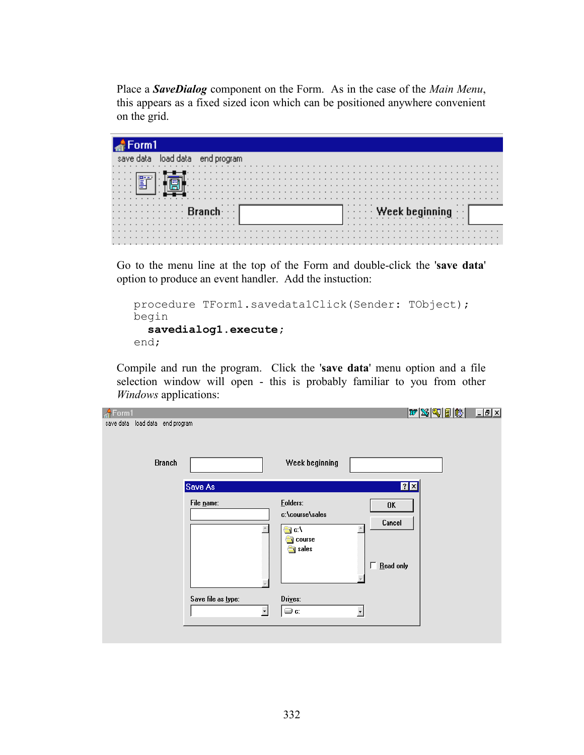Place a *SaveDialog* component on the Form. As in the case of the *Main Menu*, this appears as a fixed sized icon which can be positioned anywhere convenient on the grid.

| orm1                    |                                                                                      |  |
|-------------------------|--------------------------------------------------------------------------------------|--|
| end program             |                                                                                      |  |
|                         |                                                                                      |  |
|                         |                                                                                      |  |
| $\cdot$ $\cdot$ $\cdot$ |                                                                                      |  |
|                         |                                                                                      |  |
| .                       |                                                                                      |  |
| .                       |                                                                                      |  |
|                         |                                                                                      |  |
|                         |                                                                                      |  |
|                         |                                                                                      |  |
| $\cdots$                | $\left  \begin{array}{ccc} \cdot & \cdot & \cdot \end{array} \right $ Week beginning |  |
| .                       |                                                                                      |  |
| .                       |                                                                                      |  |
|                         |                                                                                      |  |
|                         |                                                                                      |  |
|                         |                                                                                      |  |
| .                       |                                                                                      |  |

Go to the menu line at the top of the Form and double-click the '**save data**' option to produce an event handler. Add the instuction:

```
procedure TForm1.savedata1Click(Sender: TObject);
begin
   savedialog1.execute;
end;
```
Compile and run the program. Click the '**save data**' menu option and a file selection window will open - this is probably familiar to you from other *Windows* applications:

| $\triangle$ Form1                  |                                                |                                                                | $ \mathcal{W} \mathcal{B} \mathcal{R} \mathcal{B} \mathcal{B} $ | <b>LEX</b> |
|------------------------------------|------------------------------------------------|----------------------------------------------------------------|-----------------------------------------------------------------|------------|
| save data load data<br>end program |                                                |                                                                |                                                                 |            |
| <b>Branch</b>                      |                                                | Week beginning                                                 |                                                                 |            |
|                                    | Save As                                        |                                                                | ? X                                                             |            |
|                                    | File name:                                     | <b>Folders:</b><br>c:\course\sales<br>∰ c:\<br>course<br>sales | 0K<br>Cancel<br>п<br>$Be$ ad only                               |            |
|                                    | Save file as type:<br>$\overline{\phantom{0}}$ | Drives:<br>⊜ c:                                                | $\overline{\phantom{a}}$                                        |            |
|                                    |                                                |                                                                |                                                                 |            |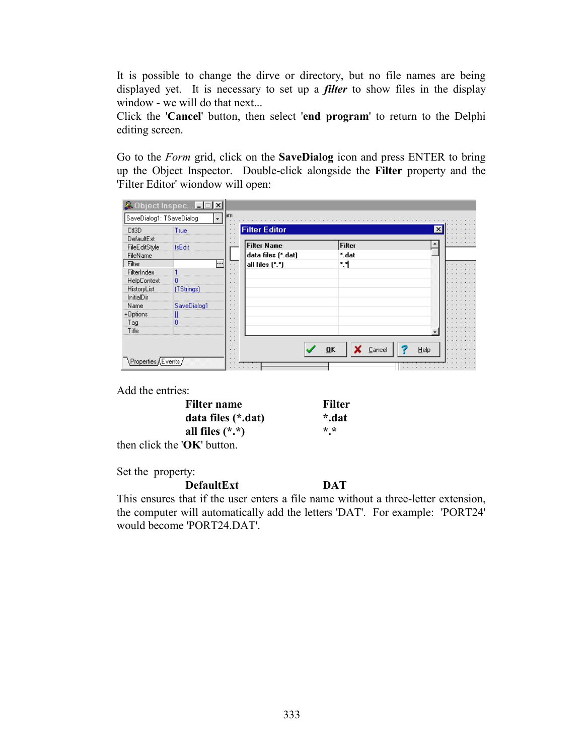It is possible to change the dirve or directory, but no file names are being displayed yet. It is necessary to set up a *filter* to show files in the display window - we will do that next...

Click the '**Cancel**' button, then select '**end program**' to return to the Delphi editing screen.

Go to the *Form* grid, click on the **SaveDialog** icon and press ENTER to bring up the Object Inspector. Double-click alongside the **Filter** property and the 'Filter Editor' wiondow will open:

|                          | <b>A</b> Object Inspec <b>LEX</b> |                                    |                                             |               |      |
|--------------------------|-----------------------------------|------------------------------------|---------------------------------------------|---------------|------|
| SaveDialog1: TSaveDialog |                                   | вm<br>۰                            |                                             |               |      |
| CtI3D                    | True                              |                                    | <b>Filter Editor</b>                        |               | ×    |
| DefaultExt               |                                   |                                    |                                             |               |      |
| FileEditStyle            | fsEdit                            |                                    | <b>Filter Name</b>                          | <b>Filter</b> |      |
| FileName                 |                                   |                                    | data files [*.dat]                          | *.dat         |      |
| Filter                   |                                   | <b></b>                            | all files $[$ <sup>*</sup> . <sup>*</sup> ) | ۰.            |      |
| FilterIndex              |                                   |                                    |                                             |               |      |
| HelpContext              | 0                                 |                                    |                                             |               |      |
| HistoryList              | (TStrings)                        | $\cdot$ $\cdot$<br>$\cdot$ $\cdot$ |                                             |               |      |
| InitialDir               |                                   | . .                                |                                             |               |      |
| Name                     | SaveDialog1                       |                                    |                                             |               |      |
| +Options                 |                                   | $\cdot$ $\cdot$                    |                                             |               |      |
| Tag                      |                                   | $\cdot$ $\cdot$                    |                                             |               |      |
| Title                    |                                   | $\cdot$ $\cdot$<br>$\sim$          |                                             |               |      |
|                          |                                   |                                    |                                             |               |      |
|                          |                                   |                                    |                                             | OK<br>Cancel  | Help |
|                          |                                   |                                    |                                             |               |      |
| Properties               |                                   |                                    |                                             | .             |      |

Add the entries:

| Filter name                     | Filter                  |
|---------------------------------|-------------------------|
| data files (*.dat)              | *.dat                   |
| all files $(*.*)$               | $* *$<br>$\blacksquare$ |
| then click the ' $OK$ ' button. |                         |

Set the property:

**DefaultExt DAT**

This ensures that if the user enters a file name without a three-letter extension, the computer will automatically add the letters 'DAT'. For example: 'PORT24' would become 'PORT24.DAT'.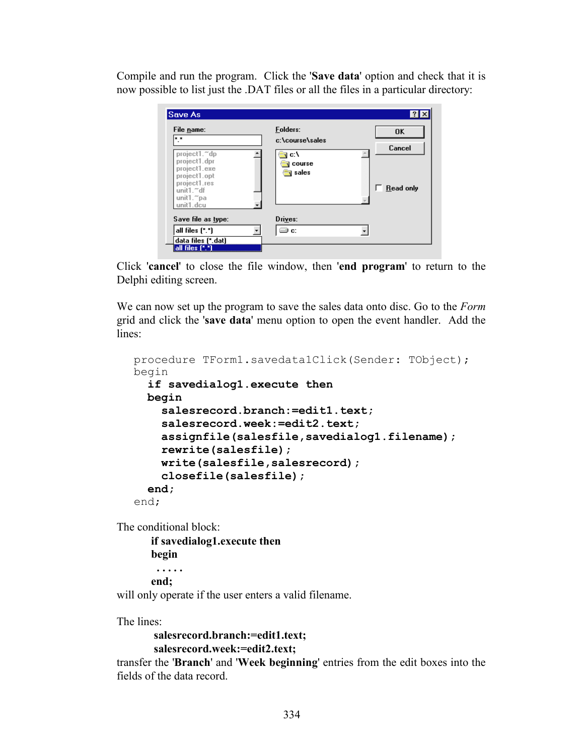Compile and run the program. Click the '**Save data**' option and check that it is now possible to list just the .DAT files or all the files in a particular directory:

| Folders:<br>c:\course\sales<br>c:\<br>course<br><b>v</b> sales | 0K<br>Cancel<br><b>Read only</b> |
|----------------------------------------------------------------|----------------------------------|
| Drives:<br>∋ c:                                                |                                  |
|                                                                |                                  |

Click '**cancel**' to close the file window, then '**end program**' to return to the Delphi editing screen.

We can now set up the program to save the sales data onto disc. Go to the *Form*  grid and click the '**save data**' menu option to open the event handler. Add the lines:

```
procedure TForm1.savedata1Click(Sender: TObject);
begin
   if savedialog1.execute then
   begin
     salesrecord.branch:=edit1.text;
     salesrecord.week:=edit2.text;
     assignfile(salesfile,savedialog1.filename);
     rewrite(salesfile);
     write(salesfile,salesrecord);
     closefile(salesfile);
   end;
end;
```
The conditional block:

**if savedialog1.execute then begin . . . . . end;**

will only operate if the user enters a valid filename.

The lines:

```
salesrecord.branch:=edit1.text;
salesrecord.week:=edit2.text;
```
transfer the '**Branch**' and '**Week beginning**' entries from the edit boxes into the fields of the data record.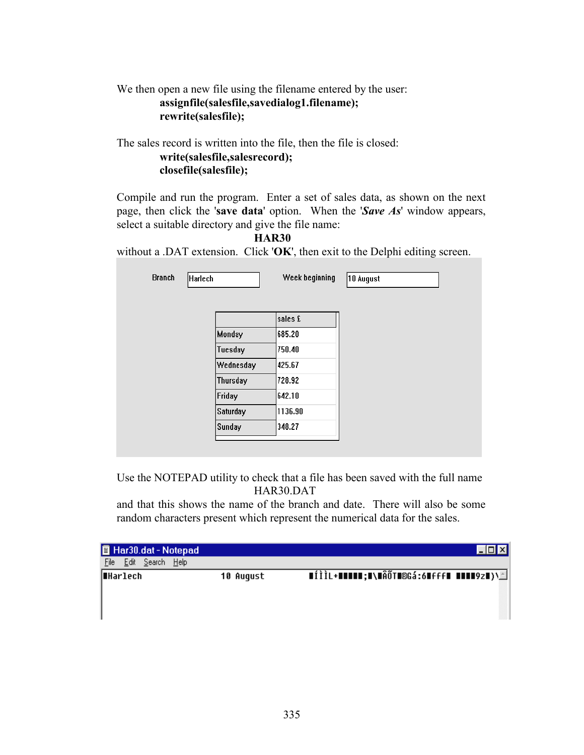### We then open a new file using the filename entered by the user:  **assignfile(salesfile,savedialog1.filename); rewrite(salesfile);**

The sales record is written into the file, then the file is closed:

### **write(salesfile,salesrecord); closefile(salesfile);**

Compile and run the program. Enter a set of sales data, as shown on the next page, then click the '**save data**' option. When the '*Save As*' window appears, select a suitable directory and give the file name:

**HAR30**

without a .DAT extension. Click '**OK**', then exit to the Delphi editing screen.

| <b>Branch</b> | Harlech       | Week beginning | 10 August |
|---------------|---------------|----------------|-----------|
|               |               |                |           |
|               |               | sales £        |           |
|               | <b>Monday</b> | 685.20         |           |
|               | Tuesday       | 750.40         |           |
|               | Wednesday     | 425.67         |           |
|               | Thursday      | 728.92         |           |
|               | Friday        | 642.10         |           |
|               | Saturday      | 1136.90        |           |
|               | Sunday        | 348.27         |           |

Use the NOTEPAD utility to check that a file has been saved with the full name HAR30.DAT

and that this shows the name of the branch and date. There will also be some random characters present which represent the numerical data for the sales.

| Har30.dat - Notepad            |                  |                                                                                     |
|--------------------------------|------------------|-------------------------------------------------------------------------------------|
| Help<br>File<br>Edit<br>Search |                  |                                                                                     |
| ∥∎Harlech                      | <b>10 August</b> | $\blacksquare$ íìì $\blacksquare$ +11111;I\IÂÕTI®Gá:6HfffI IIII9zI)\ $\blacksquare$ |
|                                |                  |                                                                                     |
|                                |                  |                                                                                     |
|                                |                  |                                                                                     |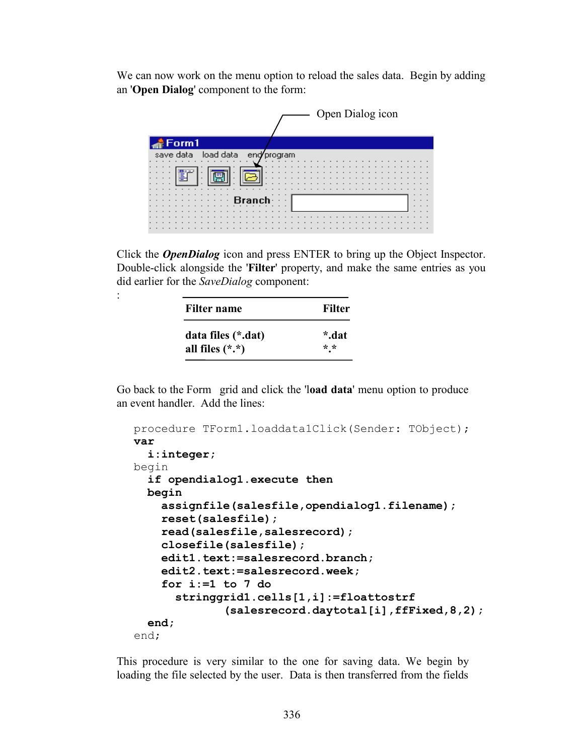We can now work on the menu option to reload the sales data. Begin by adding an '**Open Dialog**' component to the form:



Click the *OpenDialog* icon and press ENTER to bring up the Object Inspector. Double-click alongside the '**Filter**' property, and make the same entries as you did earlier for the *SaveDialog* component:

| Filter name        | <b>Filter</b> |
|--------------------|---------------|
| data files (*.dat) | *.dat         |
| all files $(*.*)$  | $* *$         |

:

Go back to the Form grid and click the 'l**oad data**' menu option to produce an event handler. Add the lines:

```
procedure TForm1.loaddata1Click(Sender: TObject);
var
   i:integer;
begin
  if opendialog1.execute then
   begin
     assignfile(salesfile,opendialog1.filename);
     reset(salesfile);
     read(salesfile,salesrecord);
     closefile(salesfile);
     edit1.text:=salesrecord.branch;
     edit2.text:=salesrecord.week;
     for i:=1 to 7 do
       stringgrid1.cells[1,i]:=floattostrf
               (salesrecord.daytotal[i],ffFixed,8,2);
   end;
end;
```
This procedure is very similar to the one for saving data. We begin by loading the file selected by the user. Data is then transferred from the fields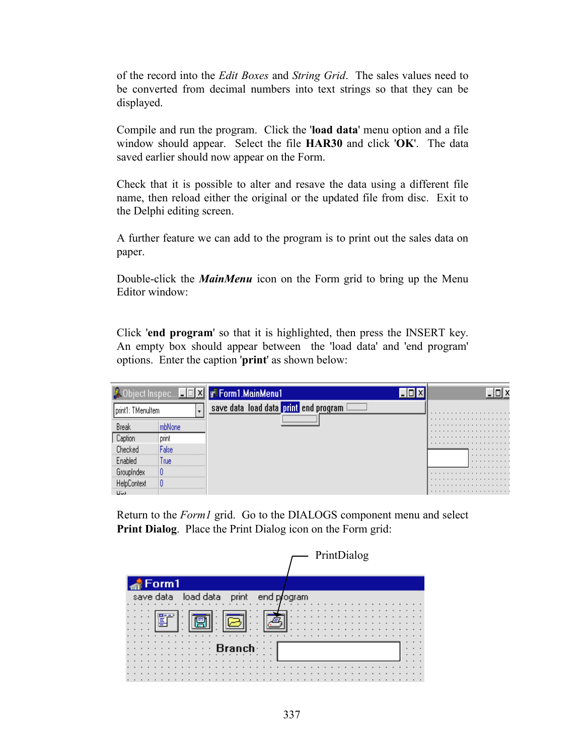of the record into the *Edit Boxes* and *String Grid*. The sales values need to be converted from decimal numbers into text strings so that they can be displayed.

Compile and run the program. Click the '**load data**' menu option and a file window should appear. Select the file **HAR30** and click '**OK**'. The data saved earlier should now appear on the Form.

Check that it is possible to alter and resave the data using a different file name, then reload either the original or the updated file from disc. Exit to the Delphi editing screen.

A further feature we can add to the program is to print out the sales data on paper.

Double-click the *MainMenu* icon on the Form grid to bring up the Menu Editor window:

Click '**end program**' so that it is highlighted, then press the INSERT key. An empty box should appear between the 'load data' and 'end program' options. Enter the caption '**print**' as shown below:

|                                               |       | ject Inspec <b>EIEIXII</b> vi Form1.MainMenu1                                                        |        |
|-----------------------------------------------|-------|------------------------------------------------------------------------------------------------------|--------|
| print1: TMenuItem                             |       | ,,,,,,,,,,,,,,,,,,,,<br>save data load data print end program<br>,,,,,,,,,,,,,,,,,,,,,,,,,,,,,,,,,,, | .      |
| Break                                         |       |                                                                                                      | .<br>. |
| Caption                                       | print |                                                                                                      | .      |
| Checked                                       | alse  |                                                                                                      | .      |
| ,,,,,,,,,,,,,,,,,,,,,,,,,,,,,,,,,,<br>Enabled | l rue |                                                                                                      | .<br>. |
|                                               |       |                                                                                                      | .      |
|                                               |       |                                                                                                      | .<br>. |
| 1111                                          |       |                                                                                                      |        |

Return to the *Form1* grid. Go to the DIALOGS component menu and select **Print Dialog**. Place the Print Dialog icon on the Form grid:

|                                 | PrintDialog |
|---------------------------------|-------------|
| Form1                           |             |
| load data<br>save data<br>print | end program |
|                                 |             |
| F                               |             |
|                                 |             |
|                                 |             |
|                                 |             |
|                                 |             |
|                                 |             |
|                                 |             |
|                                 |             |
|                                 |             |
|                                 |             |
|                                 |             |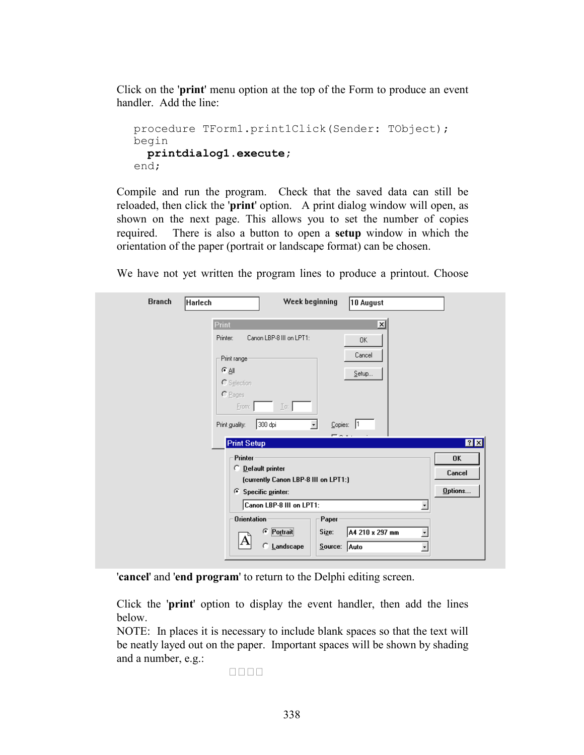Click on the '**print**' menu option at the top of the Form to produce an event handler. Add the line:

```
procedure TForm1.print1Click(Sender: TObject);
begin
  printdialog1.execute;
end;
```
Compile and run the program. Check that the saved data can still be reloaded, then click the '**print**' option. A print dialog window will open, as shown on the next page. This allows you to set the number of copies required. There is also a button to open a **setup** window in which the orientation of the paper (portrait or landscape format) can be chosen.

We have not yet written the program lines to produce a printout. Choose

| <b>Branch</b><br>Harlech | Week beginning<br>10 August                                                                                                                                               |
|--------------------------|---------------------------------------------------------------------------------------------------------------------------------------------------------------------------|
|                          | Print<br>x<br>Printer:<br>Canon LBP-8 III on LPT1:<br>0K<br>Cancel<br>Print range<br>$\in$ All<br>Setup<br>C Selection<br>$C$ Pages                                       |
|                          | Erom:<br>$\lfloor \infty \rfloor$<br>300 dpi<br>Copies:  1<br>Print guality:<br>$\bullet$<br><b>EA</b><br>7X<br><b>Print Setup</b><br>Printer                             |
|                          | <b>OK</b><br>O Default printer<br>Cancel<br>(currently Canon LBP-8 III on LPT1:)<br>Options<br>6 Specific printer:<br>Canon LBP-8 III on LPT1:<br>$\overline{\mathbf{v}}$ |
|                          | <b>Orientation</b><br>Paper<br>C Portrait<br>A4 210 x 297 mm<br>Size:<br>$\overline{\phantom{0}}$<br>Α<br>Landscape<br>C.<br>$S$ ource: Auto<br>$\overline{\phantom{a}}$  |

'**cancel**' and '**end program**' to return to the Delphi editing screen.

Click the '**print**' option to display the event handler, then add the lines below.

NOTE: In places it is necessary to include blank spaces so that the text will be neatly layed out on the paper. Important spaces will be shown by shading and a number, e.g.:

••••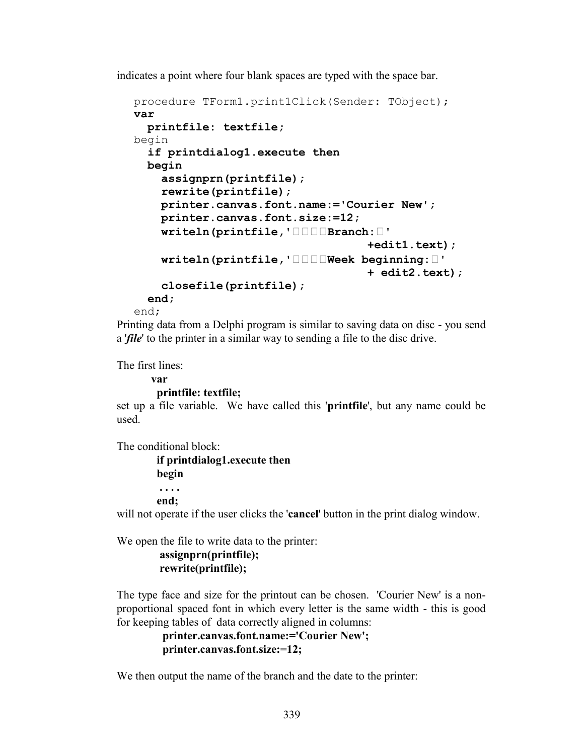indicates a point where four blank spaces are typed with the space bar.

```
procedure TForm1.print1Click(Sender: TObject);
var
  printfile: textfile;
begin
   if printdialog1.execute then
   begin
     assignprn(printfile);
     rewrite(printfile);
     printer.canvas.font.name:='Courier New';
     printer.canvas.font.size:=12;
     writeln(printfile,'••••Branch:•'
                                     +edit1.text);
     writeln(printfile,'••••Week beginning:•'
                                    + edit2.text);
     closefile(printfile);
   end;
```
end;

Printing data from a Delphi program is similar to saving data on disc - you send a '*file*' to the printer in a similar way to sending a file to the disc drive.

The first lines:

**var**

### **printfile: textfile;**

set up a file variable. We have called this '**printfile**', but any name could be used.

The conditional block:

 **if printdialog1.execute then begin . . . .** 

 **end;**

will not operate if the user clicks the '**cancel**' button in the print dialog window.

We open the file to write data to the printer:

```
 assignprn(printfile);
 rewrite(printfile);
```
The type face and size for the printout can be chosen. 'Courier New' is a nonproportional spaced font in which every letter is the same width - this is good for keeping tables of data correctly aligned in columns:

```
 printer.canvas.font.name:='Courier New';
 printer.canvas.font.size:=12;
```
We then output the name of the branch and the date to the printer: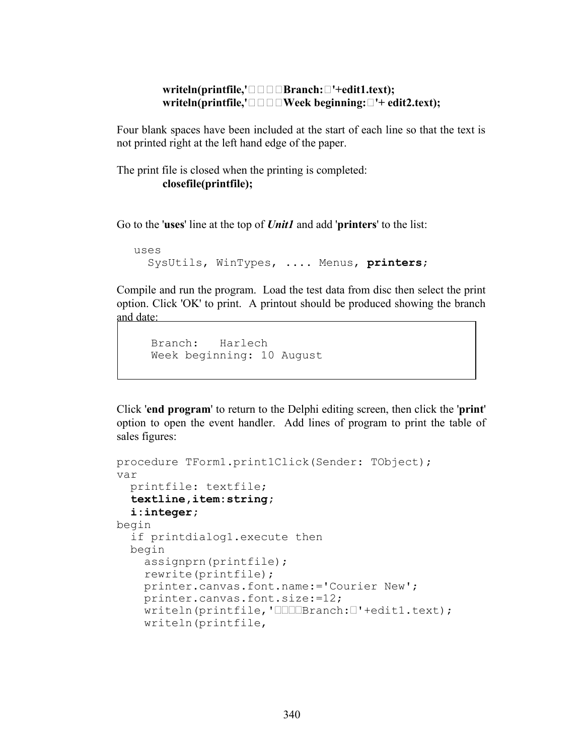### **writeln(printfile,'••••Branch:•'+edit1.text); writeln(printfile,'•••••Week beginning:•**'+ edit2.text);

Four blank spaces have been included at the start of each line so that the text is not printed right at the left hand edge of the paper.

The print file is closed when the printing is completed: **closefile(printfile);**

Go to the '**uses**' line at the top of *Unit1* and add '**printers**' to the list:

```
uses
   SysUtils, WinTypes, .... Menus, printers;
```
Compile and run the program. Load the test data from disc then select the print option. Click 'OK' to print. A printout should be produced showing the branch and date:

```
Branch: Harlech
Week beginning: 10 August
```
Click '**end program**' to return to the Delphi editing screen, then click the '**print**' option to open the event handler. Add lines of program to print the table of sales figures:

```
procedure TForm1.print1Click(Sender: TObject);
var
  printfile: textfile;
 textline,item:string;
   i:integer;
begin
   if printdialog1.execute then
   begin
     assignprn(printfile);
     rewrite(printfile);
     printer.canvas.font.name:='Courier New';
     printer.canvas.font.size:=12;
     writeln(printfile,'••••Branch:•'+edit1.text);
     writeln(printfile,
```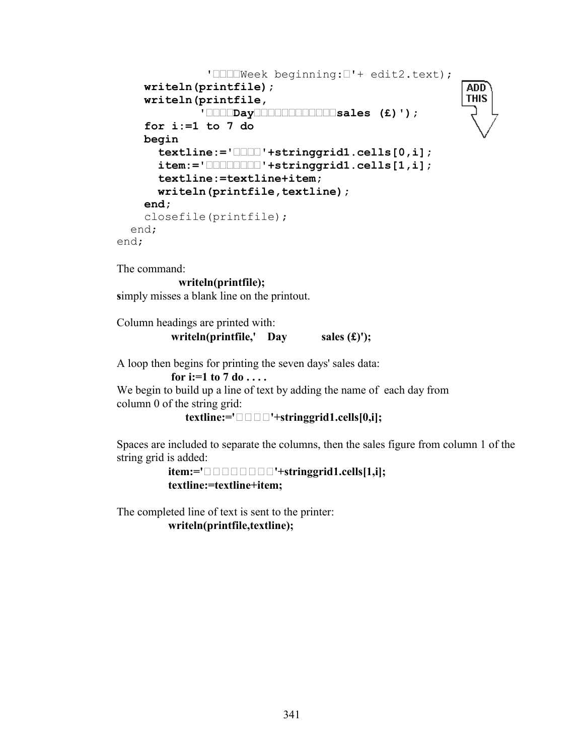```
 '••••Week beginning:•'+ edit2.text);
                                                      ADD
     writeln(printfile);
                                                      THIS
     writeln(printfile,
              '••••Day••••••••••••sales (£)');
     for i:=1 to 7 do
     begin
       textline:='••••'+stringgrid1.cells[0,i];
       item:='••••••••'+stringgrid1.cells[1,i];
       textline:=textline+item;
       writeln(printfile,textline);
     end;
     closefile(printfile);
   end;
end;
```
The command:

```
 writeln(printfile);
```
**s**imply misses a blank line on the printout.

Column headings are printed with: writeln(printfile,' Day sales  $(f)$ ');

A loop then begins for printing the seven days' sales data:

 **for i:=1 to 7 do . . . .**

We begin to build up a line of text by adding the name of each day from column 0 of the string grid:

**textline:='••••'+stringgrid1.cells[0,i];**

Spaces are included to separate the columns, then the sales figure from column 1 of the string grid is added:

> **item:='••••••••'+stringgrid1.cells[1,i]; textline:=textline+item;**

The completed line of text is sent to the printer:

 **writeln(printfile,textline);**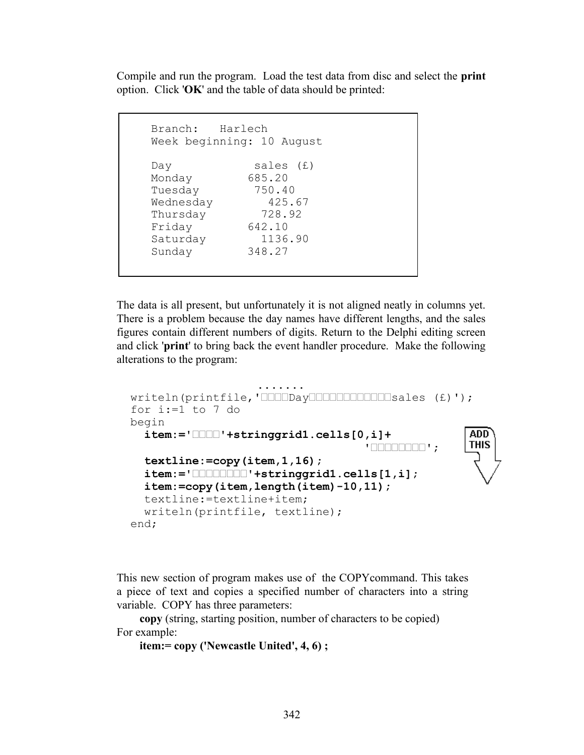Compile and run the program. Load the test data from disc and select the **print**  option. Click '**OK**' and the table of data should be printed:

```
Branch: Harlech
Week beginning: 10 August
Day sales (£)
Monday 685.20
Tuesday 750.40
Wednesday 425.67<br>Thursday 728.92
Thursday
Friday 642.10
Saturday 1136.90
Sunday 348.27
```
The data is all present, but unfortunately it is not aligned neatly in columns yet. There is a problem because the day names have different lengths, and the sales figures contain different numbers of digits. Return to the Delphi editing screen and click '**print**' to bring back the event handler procedure. Make the following alterations to the program:

```
 .......
  writeln(printfile,'••••Day••••••••••••sales (£)');
  for i:=1 to 7 do
  begin
                                                     ADD<sup>-</sup>
    item:='••••'+stringgrid1.cells[0,i]+
                                                     THIS
                                      '••••••••';
    textline:=copy(item,1,16);
    item:='••••••••'+stringgrid1.cells[1,i];
    item:=copy(item,length(item)-10,11);
    textline:=textline+item;
    writeln(printfile, textline);
  end;
```
This new section of program makes use of the COPYcommand. This takes a piece of text and copies a specified number of characters into a string variable. COPY has three parameters:

 **copy** (string, starting position, number of characters to be copied) For example:

```
 item:= copy ('Newcastle United', 4, 6) ;
```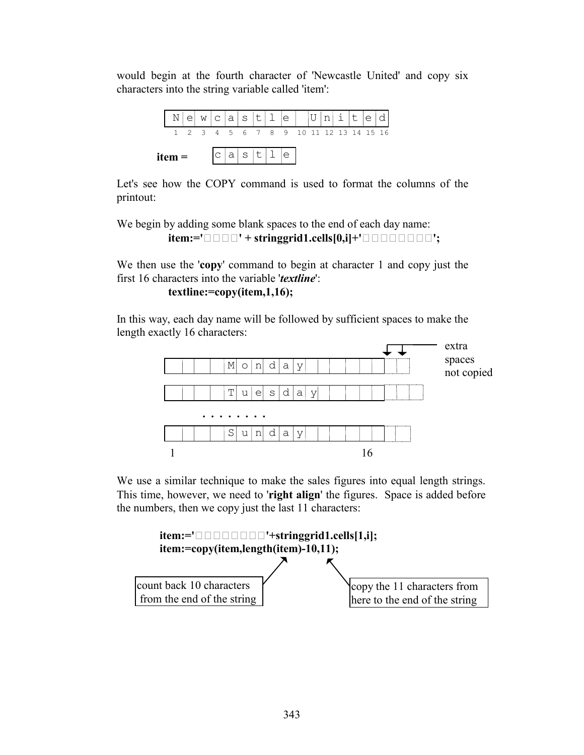would begin at the fourth character of 'Newcastle United' and copy six characters into the string variable called 'item':



Let's see how the COPY command is used to format the columns of the printout:

We begin by adding some blank spaces to the end of each day name:  $item:=\{ \bullet \bullet \bullet \bullet \dagger + stringgrid1.cells[0,i]+ \{ \bullet \bullet \bullet \bullet \bullet \bullet \bullet \bullet \dagger \}$ 

We then use the '**copy**' command to begin at character 1 and copy just the first 16 characters into the variable '*textline*':

#### **textline:=copy(item,1,16);**

In this way, each day name will be followed by sufficient spaces to make the length exactly 16 characters:



We use a similar technique to make the sales figures into equal length strings. This time, however, we need to '**right align**' the figures. Space is added before the numbers, then we copy just the last 11 characters:

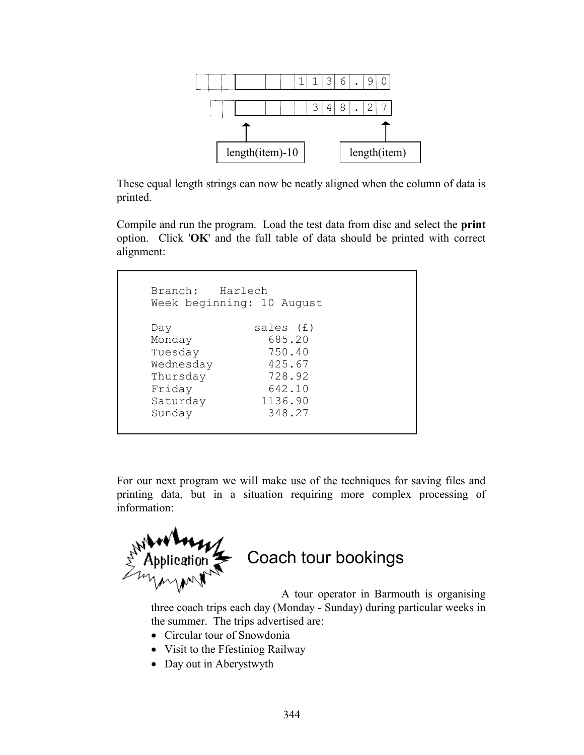

These equal length strings can now be neatly aligned when the column of data is printed.

Compile and run the program. Load the test data from disc and select the **print**  option. Click '**OK**' and the full table of data should be printed with correct alignment:

| Branch: Harlech |                           |
|-----------------|---------------------------|
|                 | Week beginning: 10 August |
|                 |                           |
| Day             | sales (£)                 |
| Monday          | 685.20                    |
| Tuesday         | 750.40                    |
| Wednesday       | 425.67                    |
| Thursday        | 728.92                    |
| Friday          | 642.10                    |
| Saturday        | 1136.90                   |
| Sunday          | 348.27                    |
|                 |                           |

For our next program we will make use of the techniques for saving files and printing data, but in a situation requiring more complex processing of information:



 $\overline{a}$ 

# Coach tour bookings

A tour operator in Barmouth is organising three coach trips each day (Monday - Sunday) during particular weeks in the summer. The trips advertised are:

- Circular tour of Snowdonia
- Visit to the Ffestiniog Railway
- Day out in Aberystwyth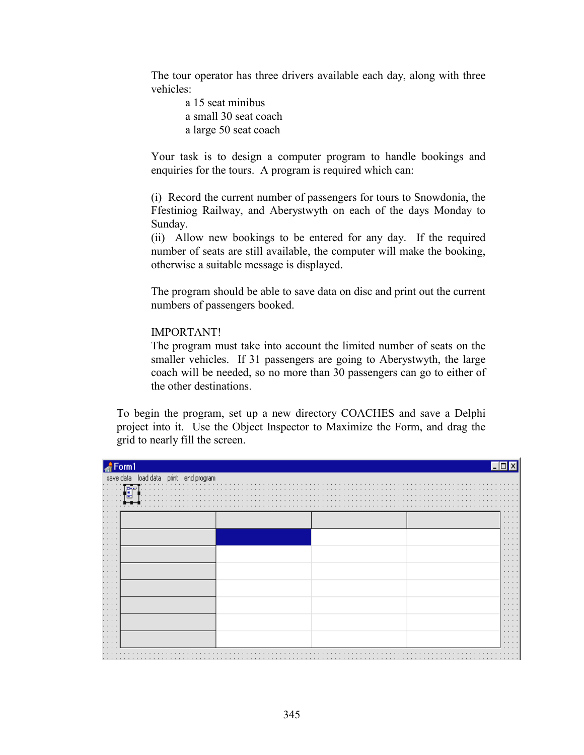The tour operator has three drivers available each day, along with three vehicles:

> a 15 seat minibus a small 30 seat coach a large 50 seat coach

Your task is to design a computer program to handle bookings and enquiries for the tours. A program is required which can:

(i) Record the current number of passengers for tours to Snowdonia, the Ffestiniog Railway, and Aberystwyth on each of the days Monday to Sunday.

(ii) Allow new bookings to be entered for any day. If the required number of seats are still available, the computer will make the booking, otherwise a suitable message is displayed.

The program should be able to save data on disc and print out the current numbers of passengers booked.

### IMPORTANT!

The program must take into account the limited number of seats on the smaller vehicles. If 31 passengers are going to Aberystwyth, the large coach will be needed, so no more than 30 passengers can go to either of the other destinations.

To begin the program, set up a new directory COACHES and save a Delphi project into it. Use the Object Inspector to Maximize the Form, and drag the grid to nearly fill the screen.

| Form1                                            |  |                                    |
|--------------------------------------------------|--|------------------------------------|
| save data load data print end program            |  |                                    |
| <b>D-A</b><br>.<br>.<br>팀<br>.<br>.<br>.         |  |                                    |
| .<br>$\cdots$                                    |  | $\cdots$                           |
| $\cdots$<br>$\cdots$                             |  | $\cdots$<br>$\cdots$               |
| $\cdots \cdots \cdots$<br>$\cdots \cdots \cdots$ |  | $\cdots$<br>$\cdots \cdots \cdots$ |
| $\cdots$                                         |  | $\cdots$<br>$\cdots$               |
| $\cdots$<br>$\cdots$<br>$\cdots$                 |  | $\cdots$<br>$\cdots$<br>$\cdots$   |
| $\cdots$<br>$\cdots$                             |  | $\cdots$<br>$\cdots$               |
| $\cdots \cdots \cdots$<br>$\cdots \cdots$        |  | $\cdots$<br>$\cdots \cdots \cdots$ |
| $\cdots$<br>$\cdots$<br>$\cdots$                 |  | $\cdots$<br>$\cdots$<br>$\cdots$   |
| $\cdots \cdots \cdots$<br>$\cdots \cdots$        |  | $\cdots$<br>$\cdots$               |
| $\cdots$<br>$\cdots$                             |  | $\cdots$<br>$\cdots$               |
| $\cdots \cdots \cdots$<br>$\cdots$               |  | $\cdots\cdots\cdots$<br>$\cdots$   |
| $\cdots$<br>$\cdots$<br>$\cdots$                 |  | $\cdots$<br>$\cdots$<br>$\cdots$   |
|                                                  |  |                                    |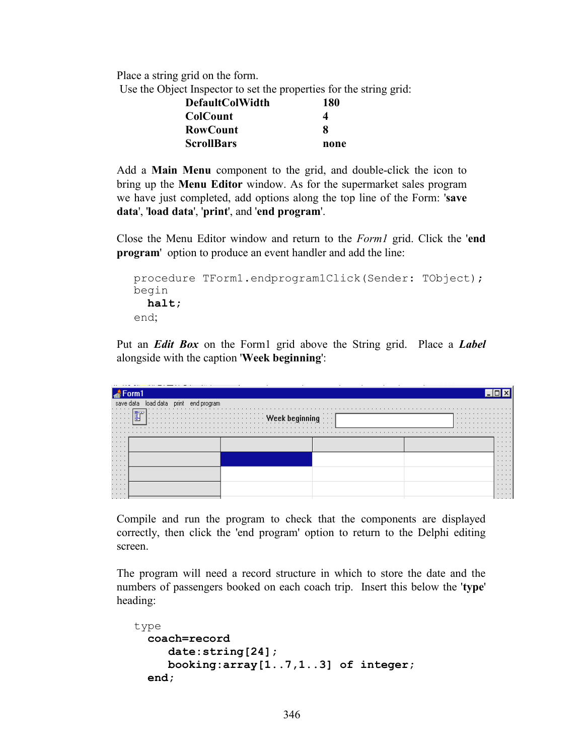Place a string grid on the form.

Use the Object Inspector to set the properties for the string grid:

| <b>DefaultColWidth</b> |  | 180  |
|------------------------|--|------|
| <b>ColCount</b>        |  | Δ    |
| <b>RowCount</b>        |  | я    |
| <b>ScrollBars</b>      |  | none |

Add a **Main Menu** component to the grid, and double-click the icon to bring up the **Menu Editor** window. As for the supermarket sales program we have just completed, add options along the top line of the Form: '**save data**', '**load data**', '**print**', and '**end program**'.

Close the Menu Editor window and return to the *Form1* grid. Click the '**end program**' option to produce an event handler and add the line:

```
procedure TForm1.endprogram1Click(Sender: TObject);
begin
   halt;
end;
```
Put an *Edit Box* on the Form1 grid above the String grid. Place a *Label*  alongside with the caption '**Week beginning**':

|                                                                                                                                       |                     | $\sim$ | $\cdot$<br>$\ddot{\phantom{1}}$<br>$\cdot$ |                      |  |
|---------------------------------------------------------------------------------------------------------------------------------------|---------------------|--------|--------------------------------------------|----------------------|--|
|                                                                                                                                       |                     |        |                                            |                      |  |
| sav                                                                                                                                   |                     |        |                                            |                      |  |
| .<br>.<br>and a state of the<br>.                                                                                                     | <b>SPECTOR</b><br>昌 |        | $\cdots$<br>$\cdots$                       | .<br>.<br>.          |  |
|                                                                                                                                       |                     |        |                                            | .                    |  |
| $\cdots$<br>$\cdots$                                                                                                                  |                     |        |                                            | .<br>.               |  |
| $\cdots$<br>$\cdots$                                                                                                                  |                     |        |                                            | $\cdots$<br>$\cdots$ |  |
| $\cdots$<br>$\cdots$<br>$\cdots$                                                                                                      |                     |        |                                            | .<br>$\cdots$<br>.   |  |
| $\cdots$<br>$\cdots$                                                                                                                  |                     |        |                                            | .<br>.               |  |
| $\cdots$<br>$\begin{array}{cccccccccccccc} \bullet & \bullet & \bullet & \bullet & \bullet & \bullet & \bullet & \bullet \end{array}$ |                     |        |                                            | .<br>.               |  |
| $\cdots$<br>$\cdots$                                                                                                                  |                     |        |                                            | .<br>.               |  |
| . 1                                                                                                                                   |                     |        |                                            | .                    |  |

Compile and run the program to check that the components are displayed correctly, then click the 'end program' option to return to the Delphi editing screen.

The program will need a record structure in which to store the date and the numbers of passengers booked on each coach trip. Insert this below the '**type**' heading:

```
type
   coach=record
      date:string[24];
      booking:array[1..7,1..3] of integer;
   end;
```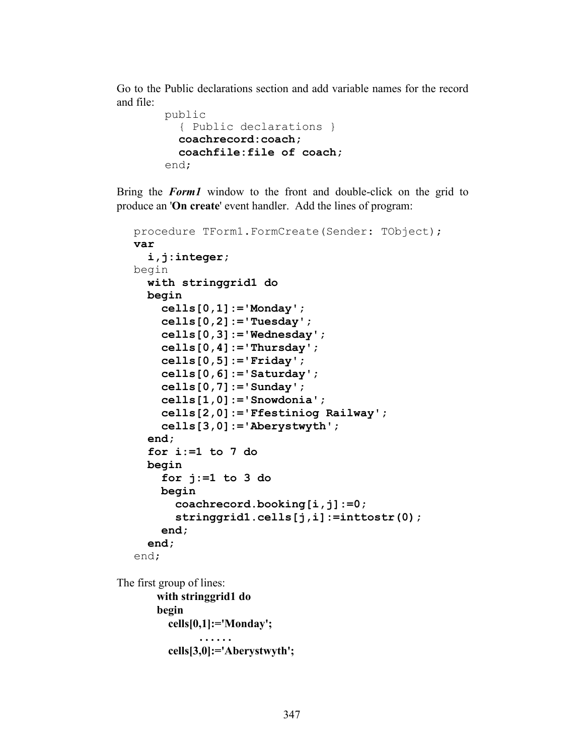Go to the Public declarations section and add variable names for the record and file:

```
 public
   { Public declarations }
   coachrecord:coach;
   coachfile:file of coach;
 end;
```
Bring the *Form1* window to the front and double-click on the grid to produce an '**On create**' event handler. Add the lines of program:

```
procedure TForm1.FormCreate(Sender: TObject);
var
   i,j:integer;
begin
   with stringgrid1 do
   begin
     cells[0,1]:='Monday';
     cells[0,2]:='Tuesday';
     cells[0,3]:='Wednesday';
     cells[0,4]:='Thursday';
     cells[0,5]:='Friday';
     cells[0,6]:='Saturday';
     cells[0,7]:='Sunday';
     cells[1,0]:='Snowdonia';
     cells[2,0]:='Ffestiniog Railway';
     cells[3,0]:='Aberystwyth';
   end;
   for i:=1 to 7 do
   begin
     for j:=1 to 3 do
     begin
       coachrecord.booking[i,j]:=0;
       stringgrid1.cells[j,i]:=inttostr(0);
     end;
   end;
end;
```
The first group of lines:  **with stringgrid1 do begin cells[0,1]:='Monday'; . . . . . . . . . . . . . . . . . . . cells[3,0]:='Aberystwyth';**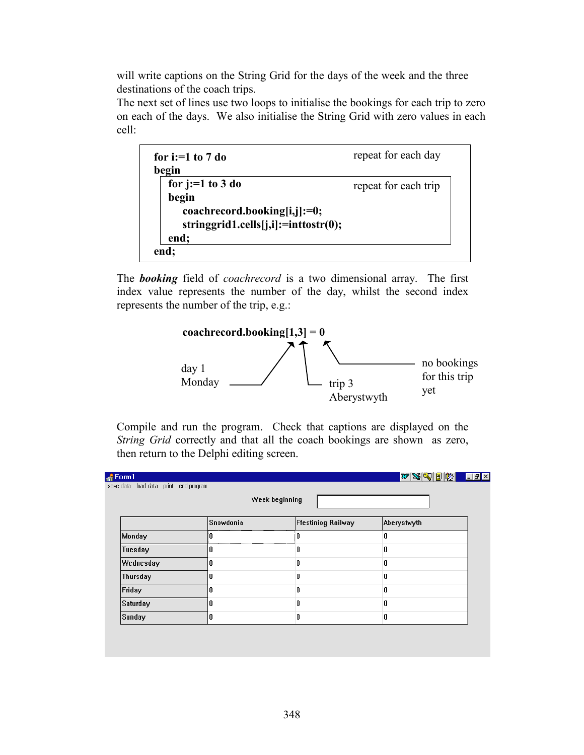will write captions on the String Grid for the days of the week and the three destinations of the coach trips.

The next set of lines use two loops to initialise the bookings for each trip to zero on each of the days. We also initialise the String Grid with zero values in each cell:

| for i:= $1$ to $7$ do                | repeat for each day  |
|--------------------------------------|----------------------|
| begin<br>for $j:=1$ to 3 do          | repeat for each trip |
| begin                                |                      |
| coachrecord.booking[i,j]:=0;         |                      |
| stringgrid1.cells[j,i]:=inttostr(0); |                      |
| end;                                 |                      |
| end;                                 |                      |

The *booking* field of *coachrecord* is a two dimensional array. The first index value represents the number of the day, whilst the second index represents the number of the trip, e.g.:



Compile and run the program. Check that captions are displayed on the *String Grid* correctly and that all the coach bookings are shown as zero, then return to the Delphi editing screen.

|                 |           | Week beginning     |             |
|-----------------|-----------|--------------------|-------------|
|                 | Snowdonia | Ffestiniog Railway | Aberystwyth |
| Monday          | n         | n                  | 0           |
| Tuesday         | 0         | Ω                  | 0           |
| Wednesday       | 0         |                    | 0           |
| <b>Thursday</b> | 0         |                    | 0           |
| Friday          | 0         |                    | 0           |
| Saturday        | 0         | Λ                  | 0           |
| Sunday          | 0         | Λ                  | 0           |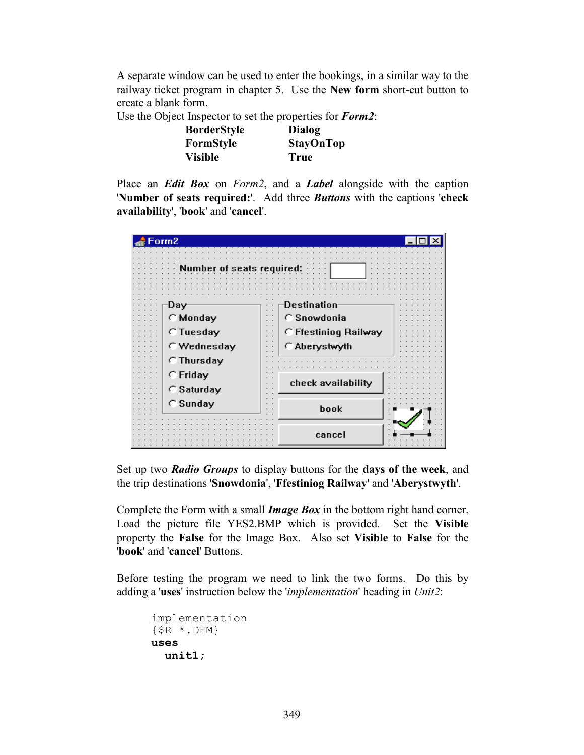A separate window can be used to enter the bookings, in a similar way to the railway ticket program in chapter 5. Use the **New form** short-cut button to create a blank form.

Use the Object Inspector to set the properties for *Form2*:

| <b>BorderStyle</b> | Dialog           |
|--------------------|------------------|
| FormStyle          | <b>StayOnTop</b> |
| <b>Visible</b>     | True             |

Place an *Edit Box* on *Form2*, and a *Label* alongside with the caption '**Number of seats required:**'. Add three *Buttons* with the captions '**check availability**', '**book**' and '**cancel**'.

| Form2                           |                                       |
|---------------------------------|---------------------------------------|
| umber of seats required:        |                                       |
|                                 |                                       |
| Day<br>C Monday                 | Destination<br>C Snowdonia            |
| <b>C</b> Tuesday<br>C Wednesday | C Ffestiniog Railway<br>C Aberystwyth |
| C Thursday<br>$C$ Friday        |                                       |
| C Saturday<br>C Sunday          | check availability                    |
|                                 | book                                  |
|                                 | cancel                                |

Set up two *Radio Groups* to display buttons for the **days of the week**, and the trip destinations '**Snowdonia**', '**Ffestiniog Railway**' and '**Aberystwyth**'.

Complete the Form with a small *Image Box* in the bottom right hand corner. Load the picture file YES2.BMP which is provided. Set the **Visible**  property the **False** for the Image Box.Also set **Visible** to **False** for the '**book**' and '**cancel**' Buttons.

Before testing the program we need to link the two forms. Do this by adding a '**uses**' instruction below the '*implementation*' heading in *Unit2*:

```
implementation
{$R *.DFM}
uses
   unit1;
```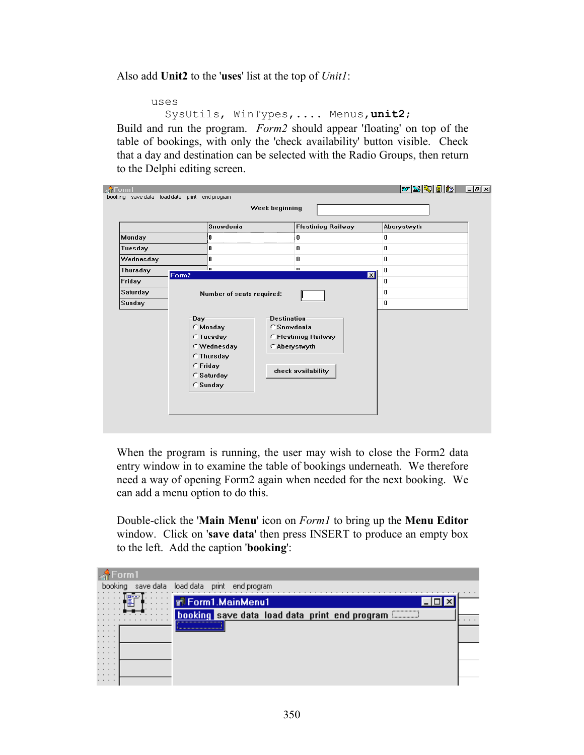Also add **Unit2** to the '**uses**' list at the top of *Unit1*:

```
uses
```

```
 SysUtils, WinTypes,.... Menus,unit2;
```
Build and run the program. *Form2* should appear 'floating' on top of the table of bookings, with only the 'check availability' button visible. Check that a day and destination can be selected with the Radio Groups, then return to the Delphi editing screen.

| Monday<br>Tuesday | l0                                                                                                             |                                                                                                  |                      |
|-------------------|----------------------------------------------------------------------------------------------------------------|--------------------------------------------------------------------------------------------------|----------------------|
|                   |                                                                                                                | $\bf{0}$                                                                                         | 0                    |
|                   | 0                                                                                                              | $\bf{0}$                                                                                         | 0                    |
| Wednesday         | 0                                                                                                              | $\bf{0}$                                                                                         | 0                    |
| Thursday          | 'n<br>Form2                                                                                                    | $\mathbf{a}$                                                                                     | 0<br>$\vert x \vert$ |
| Friday            |                                                                                                                |                                                                                                  | 0                    |
| Saturday          | Number of seats required:                                                                                      |                                                                                                  | 0                    |
| Sunday            |                                                                                                                |                                                                                                  | 0                    |
|                   | Day-<br>C Monday<br><b>C</b> Tuesday<br>C Wednesday<br><b>C</b> Thursday<br>C Friday<br>C Saturday<br>C Sunday | <b>Destination</b><br>C Snowdonia<br>C Ffestiniog Railway<br>C Aberystwyth<br>check availability |                      |

When the program is running, the user may wish to close the Form2 data entry window in to examine the table of bookings underneath. We therefore need a way of opening Form2 again when needed for the next booking. We can add a menu option to do this.

Double-click the '**Main Menu**' icon on *Form1* to bring up the **Menu Editor** window. Click on '**save data**' then press INSERT to produce an empty box to the left. Add the caption '**booking**':

| save data<br>booking<br>load data<br>print end program                                                                                                  |  |
|---------------------------------------------------------------------------------------------------------------------------------------------------------|--|
| and a series<br>.<br><b>F</b> Form1.MainMenu1<br>and a series<br>.                                                                                      |  |
| .<br>.<br>,,,,,,,,,,,,,,,,,,,,,<br>booking save data load data print end program<br>. <del>.</del> . <del>.</del><br><b><i><u>immumumi</u></i></b><br>. |  |
| $\cdots$<br><u> Nooroo oo oo oo oo oo oo oo oo oo oo a</u><br>$\cdots$                                                                                  |  |
| $\cdots$<br>$\cdots$<br>$\cdots$                                                                                                                        |  |
| $\cdots$<br>$\cdots$                                                                                                                                    |  |
| $\cdots$<br>.                                                                                                                                           |  |
| $\cdots$<br>$\cdots$                                                                                                                                    |  |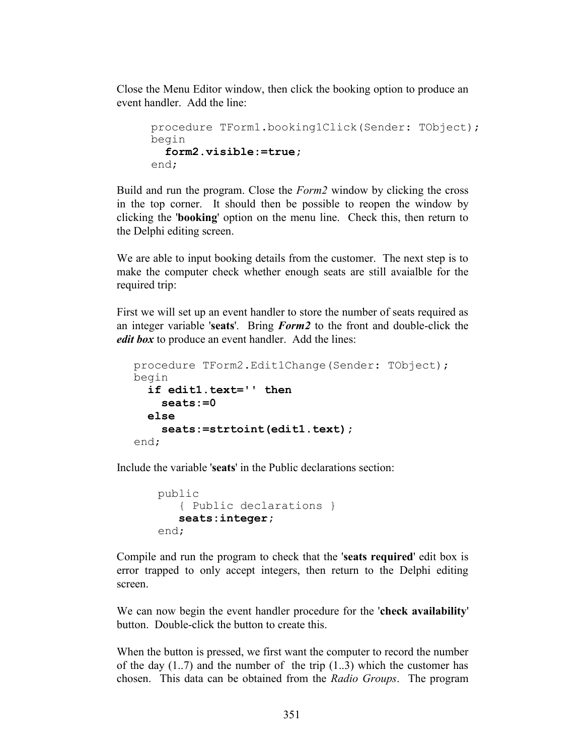Close the Menu Editor window, then click the booking option to produce an event handler. Add the line:

```
procedure TForm1.booking1Click(Sender: TObject);
begin
   form2.visible:=true;
end;
```
Build and run the program. Close the *Form2* window by clicking the cross in the top corner. It should then be possible to reopen the window by clicking the '**booking**' option on the menu line. Check this, then return to the Delphi editing screen.

We are able to input booking details from the customer. The next step is to make the computer check whether enough seats are still avaialble for the required trip:

First we will set up an event handler to store the number of seats required as an integer variable '**seats**'. Bring *Form2* to the front and double-click the *edit box* to produce an event handler. Add the lines:

```
procedure TForm2.Edit1Change(Sender: TObject);
begin
   if edit1.text='' then
     seats:=0
   else
     seats:=strtoint(edit1.text);
end;
```
Include the variable '**seats**' in the Public declarations section:

```
public
    { Public declarations }
    seats:integer;
end;
```
Compile and run the program to check that the '**seats required**' edit box is error trapped to only accept integers, then return to the Delphi editing screen.

We can now begin the event handler procedure for the '**check availability**' button. Double-click the button to create this.

When the button is pressed, we first want the computer to record the number of the day  $(1..7)$  and the number of the trip  $(1..3)$  which the customer has chosen. This data can be obtained from the *Radio Groups*. The program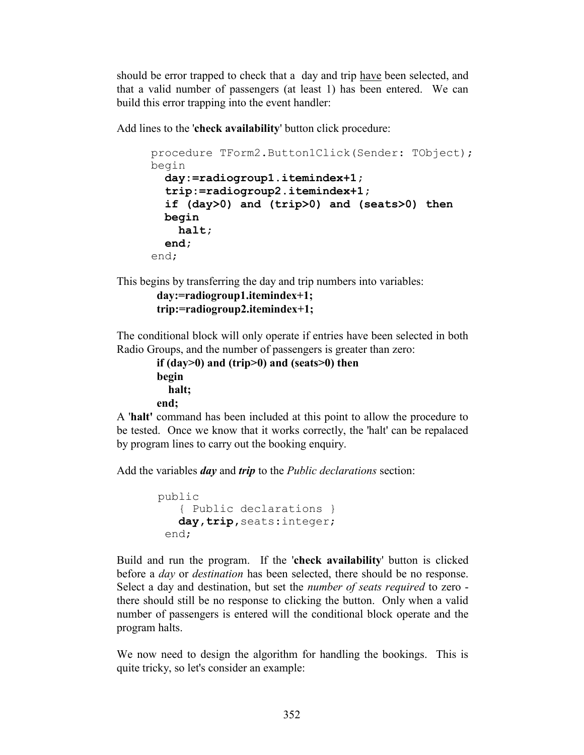should be error trapped to check that a day and trip have been selected, and that a valid number of passengers (at least 1) has been entered. We can build this error trapping into the event handler:

Add lines to the '**check availability**' button click procedure:

```
procedure TForm2.Button1Click(Sender: TObject);
begin
  day:=radiogroup1.itemindex+1;
   trip:=radiogroup2.itemindex+1;
   if (day>0) and (trip>0) and (seats>0) then
   begin
     halt;
   end;
end;
```
This begins by transferring the day and trip numbers into variables:

```
 day:=radiogroup1.itemindex+1;
 trip:=radiogroup2.itemindex+1;
```
The conditional block will only operate if entries have been selected in both Radio Groups, and the number of passengers is greater than zero:

```
 if (day>0) and (trip>0) and (seats>0) then
 begin
   halt;
 end;
```
A '**halt'** command has been included at this point to allow the procedure to be tested. Once we know that it works correctly, the 'halt' can be repalaced by program lines to carry out the booking enquiry.

Add the variables *day* and *trip* to the *Public declarations* section:

```
public
    { Public declarations }
    day,trip,seats:integer;
  end;
```
Build and run the program. If the '**check availability**' button is clicked before a *day* or *destination* has been selected, there should be no response. Select a day and destination, but set the *number of seats required* to zero there should still be no response to clicking the button. Only when a valid number of passengers is entered will the conditional block operate and the program halts.

We now need to design the algorithm for handling the bookings. This is quite tricky, so let's consider an example: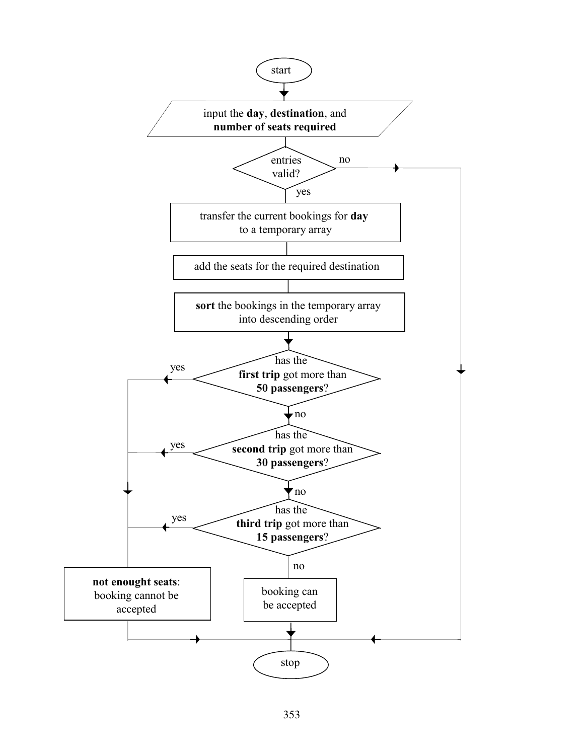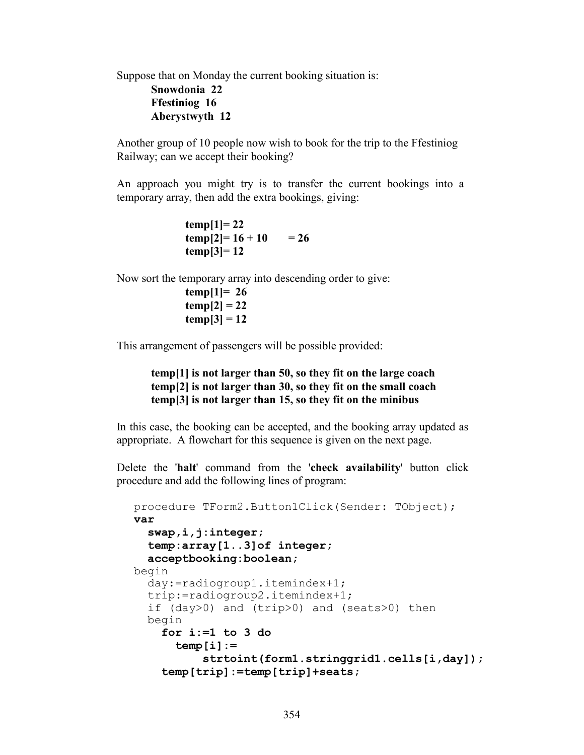Suppose that on Monday the current booking situation is: **Snowdonia 22 Ffestiniog 16 Aberystwyth 12**

Another group of 10 people now wish to book for the trip to the Ffestiniog Railway; can we accept their booking?

An approach you might try is to transfer the current bookings into a temporary array, then add the extra bookings, giving:

> **temp[1]= 22**  $temp[2] = 16 + 10 = 26$  **temp[3]= 12**

Now sort the temporary array into descending order to give:

**temp[1]= 26 temp[2] = 22 temp[3] = 12**

This arrangement of passengers will be possible provided:

### **temp[1] is not larger than 50, so they fit on the large coach temp[2] is not larger than 30, so they fit on the small coach temp[3] is not larger than 15, so they fit on the minibus**

In this case, the booking can be accepted, and the booking array updated as appropriate. A flowchart for this sequence is given on the next page.

Delete the '**halt**' command from the '**check availability**' button click procedure and add the following lines of program:

```
procedure TForm2.Button1Click(Sender: TObject);
var
   swap,i,j:integer;
   temp:array[1..3]of integer;
   acceptbooking:boolean;
begin
   day:=radiogroup1.itemindex+1;
   trip:=radiogroup2.itemindex+1;
   if (day>0) and (trip>0) and (seats>0) then
   begin
     for i:=1 to 3 do
       temp[i]:=
           strtoint(form1.stringgrid1.cells[i,day]);
     temp[trip]:=temp[trip]+seats;
```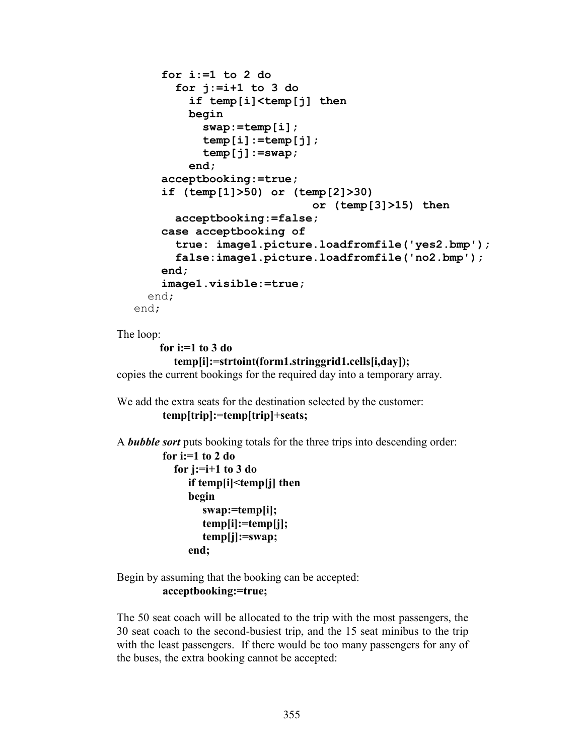```
 for i:=1 to 2 do
       for j:=i+1 to 3 do
         if temp[i]<temp[j] then
         begin
           swap:=temp[i];
            temp[i]:=temp[j];
            temp[j]:=swap;
         end;
     acceptbooking:=true;
     if (temp[1]>50) or (temp[2]>30) 
                             or (temp[3]>15) then
       acceptbooking:=false;
     case acceptbooking of
       true: image1.picture.loadfromfile('yes2.bmp');
       false:image1.picture.loadfromfile('no2.bmp');
     end;
     image1.visible:=true;
   end;
end;
```

```
The loop:
```
 **for i:=1 to 3 do temp[i]:=strtoint(form1.stringgrid1.cells[i,day]);** copies the current bookings for the required day into a temporary array.

```
We add the extra seats for the destination selected by the customer:
          temp[trip]:=temp[trip]+seats;
```
A *bubble sort* puts booking totals for the three trips into descending order:

```
 for i:=1 to 2 do
   for j:=i+1 to 3 do
      if temp[i]<temp[j] then
      begin
         swap:=temp[i];
          temp[i]:=temp[j];
          temp[j]:=swap;
      end;
```
Begin by assuming that the booking can be accepted: **acceptbooking:=true;**

The 50 seat coach will be allocated to the trip with the most passengers, the 30 seat coach to the second-busiest trip, and the 15 seat minibus to the trip with the least passengers. If there would be too many passengers for any of the buses, the extra booking cannot be accepted: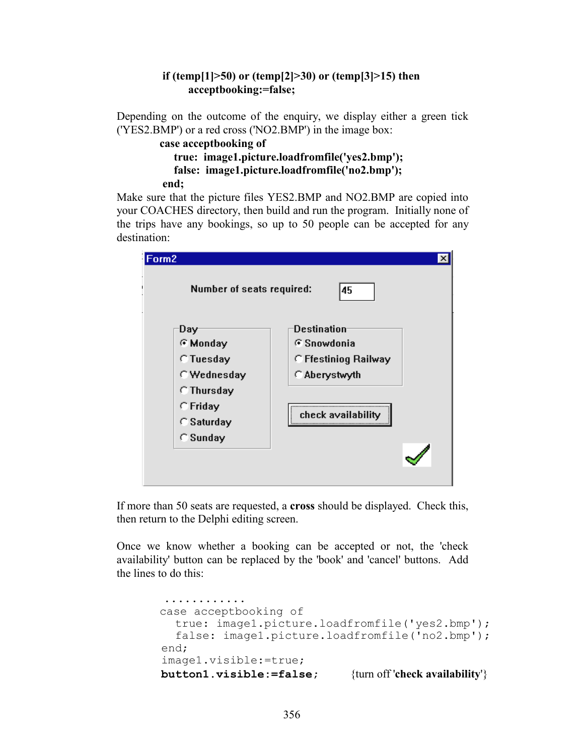### **if (temp[1]>50) or (temp[2]>30) or (temp[3]>15) then acceptbooking:=false;**

Depending on the outcome of the enquiry, we display either a green tick ('YES2.BMP') or a red cross ('NO2.BMP') in the image box:

```
 case acceptbooking of
   true: image1.picture.loadfromfile('yes2.bmp');
   false: image1.picture.loadfromfile('no2.bmp');
 end;
```
Make sure that the picture files YES2.BMP and NO2.BMP are copied into your COACHES directory, then build and run the program. Initially none of the trips have any bookings, so up to 50 people can be accepted for any destination:



If more than 50 seats are requested, a **cross** should be displayed. Check this, then return to the Delphi editing screen.

Once we know whether a booking can be accepted or not, the 'check availability' button can be replaced by the 'book' and 'cancel' buttons. Add the lines to do this:

```
 ............
 case acceptbooking of
   true: image1.picture.loadfromfile('yes2.bmp');
   false: image1.picture.loadfromfile('no2.bmp');
 end;
 image1.visible:=true;
 button1.visible:=false; {turn off 'check availability'}
```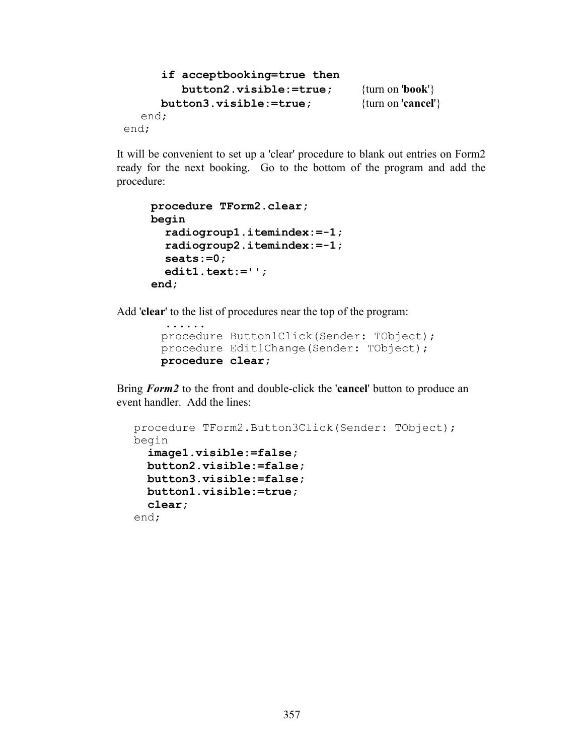```
 if acceptbooking=true then
          button2.visible:=true; {turn on 'book'}
      button3.visible:=true; {turn on 'cancel'}
  end;
end;
```
It will be convenient to set up a 'clear' procedure to blank out entries on Form2 ready for the next booking. Go to the bottom of the program and add the procedure:

```
procedure TForm2.clear;
begin
   radiogroup1.itemindex:=-1;
   radiogroup2.itemindex:=-1;
   seats:=0;
   edit1.text:='';
end;
```
Add '**clear**' to the list of procedures near the top of the program:

```
 ......
 procedure Button1Click(Sender: TObject);
 procedure Edit1Change(Sender: TObject);
 procedure clear;
```
Bring *Form2* to the front and double-click the '**cancel**' button to produce an event handler. Add the lines:

```
procedure TForm2.Button3Click(Sender: TObject);
begin
   image1.visible:=false;
   button2.visible:=false;
   button3.visible:=false;
   button1.visible:=true;
   clear;
end;
```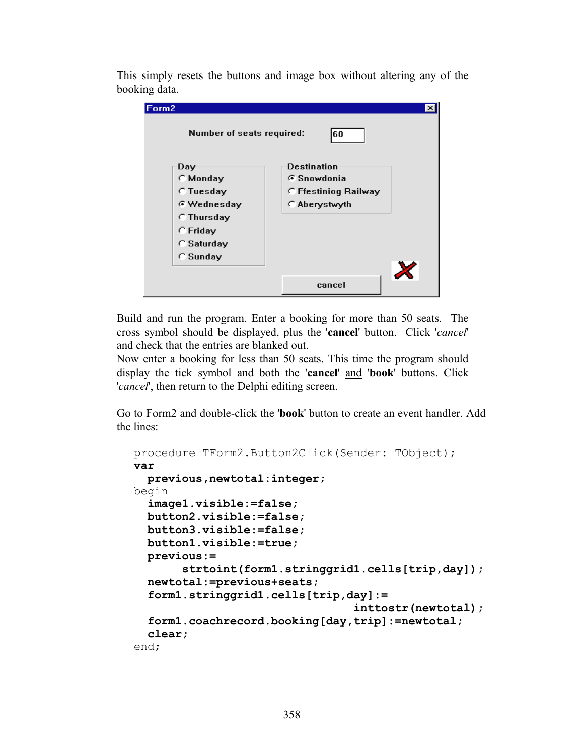This simply resets the buttons and image box without altering any of the booking data.

| Form2                     | $\times$             |
|---------------------------|----------------------|
| Number of seats required: | 60                   |
| Day                       | Destination          |
| C Monday                  | G Snowdonia          |
| <b>C</b> Tuesday          | C Ffestiniog Railway |
| <b>E</b> Wednesday        | C Aberystwyth        |
| <b>C</b> Thursday         |                      |
| C Friday                  |                      |
| $\cap$ Saturday           |                      |
| C Sunday                  |                      |
|                           |                      |
|                           | cancel               |

Build and run the program. Enter a booking for more than 50 seats. The cross symbol should be displayed, plus the '**cancel**' button. Click '*cancel*' and check that the entries are blanked out.

Now enter a booking for less than 50 seats. This time the program should display the tick symbol and both the '**cancel**' and '**book**' buttons. Click '*cancel*', then return to the Delphi editing screen.

Go to Form2 and double-click the '**book**' button to create an event handler. Add the lines:

```
procedure TForm2.Button2Click(Sender: TObject);
var
   previous,newtotal:integer;
begin
   image1.visible:=false;
   button2.visible:=false;
   button3.visible:=false;
   button1.visible:=true;
   previous:=
        strtoint(form1.stringgrid1.cells[trip,day]);
   newtotal:=previous+seats;
   form1.stringgrid1.cells[trip,day]:=
                                   inttostr(newtotal);
   form1.coachrecord.booking[day,trip]:=newtotal;
   clear;
end;
```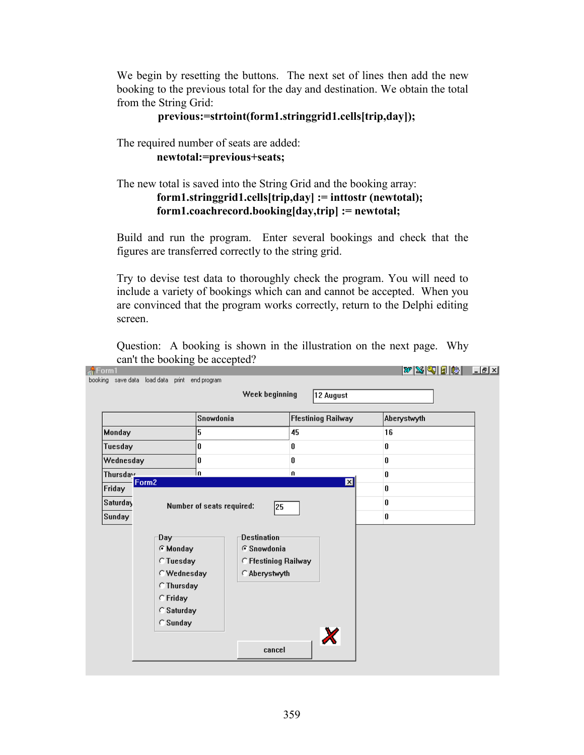We begin by resetting the buttons. The next set of lines then add the new booking to the previous total for the day and destination. We obtain the total from the String Grid:

### **previous:=strtoint(form1.stringgrid1.cells[trip,day]);**

The required number of seats are added:

 **newtotal:=previous+seats;**

### The new total is saved into the String Grid and the booking array:  **form1.stringgrid1.cells[trip,day] := inttostr (newtotal); form1.coachrecord.booking[day,trip] := newtotal;**

Build and run the program. Enter several bookings and check that the figures are transferred correctly to the string grid.

Try to devise test data to thoroughly check the program. You will need to include a variety of bookings which can and cannot be accepted. When you are convinced that the program works correctly, return to the Delphi editing screen.

Question: A booking is shown in the illustration on the next page. Why can't the booking be accepted?

|                             | Snowdonia                                                                                                             |                                                                            | <b>Ffestiniog Railway</b> | Aberystwyth |  |
|-----------------------------|-----------------------------------------------------------------------------------------------------------------------|----------------------------------------------------------------------------|---------------------------|-------------|--|
| <b>Monday</b>               | 5                                                                                                                     |                                                                            | 45                        | 16          |  |
| Tuesday                     | 0                                                                                                                     |                                                                            |                           | 0           |  |
| Wednesday                   | 0                                                                                                                     |                                                                            | 0                         | $\pmb{0}$   |  |
| Thursday                    | 'n                                                                                                                    |                                                                            | $\mathbf{u}$              | $\bf{0}$    |  |
| Form <sub>2</sub><br>Friday |                                                                                                                       |                                                                            | $\overline{\mathbf{x}}$   | $\pmb{0}$   |  |
| Saturday                    | Number of seats required:                                                                                             | 25                                                                         |                           | 0           |  |
| Sunday                      |                                                                                                                       |                                                                            |                           | $\pmb{0}$   |  |
|                             | Day-<br><b>C</b> Monday<br><b>C</b> Tuesday<br>C Wednesday<br><b>C</b> Thursday<br>C Friday<br>C Saturday<br>C Sunday | <b>Destination</b><br>G Snowdonia<br>C Ffestiniog Railway<br>C Aberystwyth | $\boldsymbol{\mathsf{X}}$ |             |  |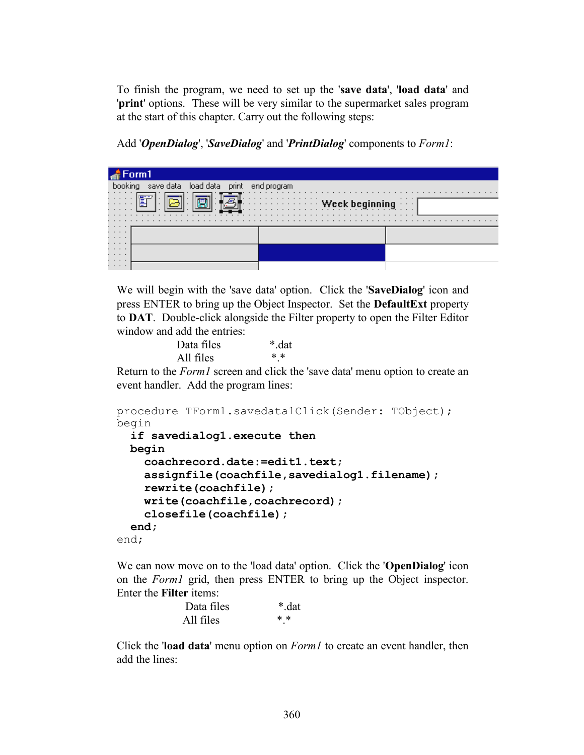To finish the program, we need to set up the '**save data**', '**load data**' and '**print**' options. These will be very similar to the supermarket sales program at the start of this chapter. Carry out the following steps:

Add '*OpenDialog*', '*SaveDialog*' and '*PrintDialog*' components to *Form1*:



We will begin with the 'save data' option. Click the '**SaveDialog**' icon and press ENTER to bring up the Object Inspector. Set the **DefaultExt** property to **DAT**. Double-click alongside the Filter property to open the Filter Editor window and add the entries:

| Data files | *.dat |  |
|------------|-------|--|
| All files  | $* *$ |  |

Return to the *Form1* screen and click the 'save data' menu option to create an event handler. Add the program lines:

```
procedure TForm1.savedata1Click(Sender: TObject);
begin
   if savedialog1.execute then
  begin
     coachrecord.date:=edit1.text;
     assignfile(coachfile,savedialog1.filename);
     rewrite(coachfile);
     write(coachfile,coachrecord);
     closefile(coachfile);
   end;
end;
```
We can now move on to the 'load data' option. Click the '**OpenDialog**' icon on the *Form1* grid, then press ENTER to bring up the Object inspector. Enter the **Filter** items:

| Data files | *.dat |
|------------|-------|
| All files  | $* *$ |

Click the '**load data**' menu option on *Form1* to create an event handler, then add the lines: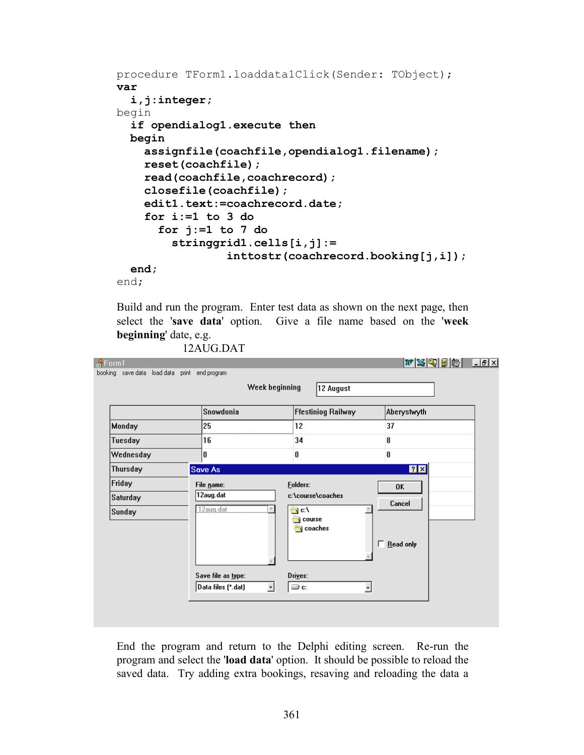```
procedure TForm1.loaddata1Click(Sender: TObject);
var
   i,j:integer;
begin
   if opendialog1.execute then
   begin
     assignfile(coachfile,opendialog1.filename);
     reset(coachfile);
     read(coachfile,coachrecord);
     closefile(coachfile);
     edit1.text:=coachrecord.date;
     for i:=1 to 3 do
       for j:=1 to 7 do
         stringgrid1.cells[i,j]:=
                  inttostr(coachrecord.booking[j,i]);
   end;
```
end;

Build and run the program. Enter test data as shown on the next page, then select the '**save data**' option. Give a file name based on the '**week beginning**' date, e.g.

12AUG.DAT

|                    | Snowdonia               | <b>Ffestiniog Railway</b>            | Aberystwyth               |
|--------------------|-------------------------|--------------------------------------|---------------------------|
| <b>Monday</b>      | 25                      | 12                                   | 37                        |
| Tuesday            | 16                      | 34                                   | 8                         |
| Wednesday          | 0                       | 0                                    | 0                         |
| Thursday           | <b>Save As</b>          |                                      | 7x                        |
| Friday<br>Saturday | File name:<br>12aug.dat | <b>Folders:</b><br>c:\course\coaches | 0K<br>Cancel              |
| Sunday             | 12aug.dat               | ⊜ c:\<br><b>Course</b><br>coaches    | $\mathbb{A}$<br>Read only |
|                    |                         |                                      |                           |

End the program and return to the Delphi editing screen. Re-run the program and select the '**load data**' option. It should be possible to reload the saved data. Try adding extra bookings, resaving and reloading the data a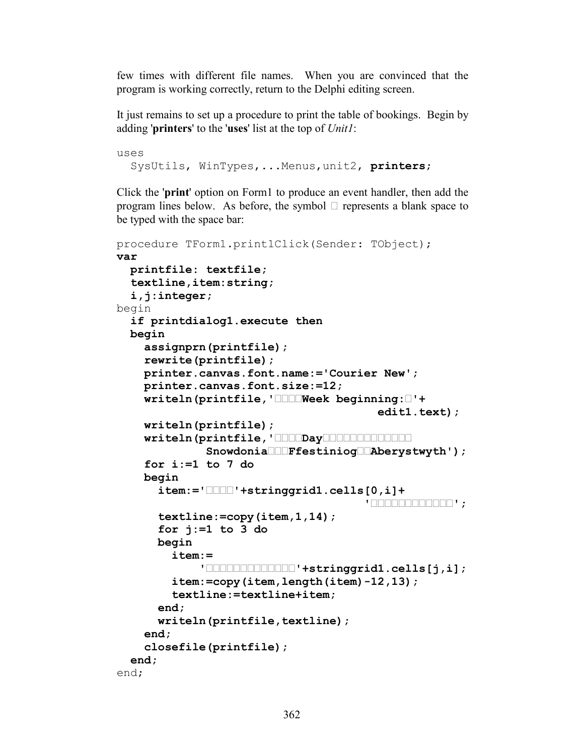few times with different file names. When you are convinced that the program is working correctly, return to the Delphi editing screen.

It just remains to set up a procedure to print the table of bookings. Begin by adding '**printers**' to the '**uses**' list at the top of *Unit1*:

uses SysUtils, WinTypes,...Menus,unit2, **printers**;

Click the '**print**' option on Form1 to produce an event handler, then add the program lines below. As before, the symbol **•** represents a blank space to be typed with the space bar:

```
procedure TForm1.print1Click(Sender: TObject);
var
   printfile: textfile;
   textline,item:string;
   i,j:integer;
begin
   if printdialog1.execute then
   begin
     assignprn(printfile);
     rewrite(printfile);
     printer.canvas.font.name:='Courier New';
     printer.canvas.font.size:=12;
     writeln(printfile,'••••Week beginning:•'+
                                         edit1.text);
     writeln(printfile);
     writeln(printfile,'••••Day••••••••••••• 
               Snowdonia•••Ffestiniog••Aberystwyth');
     for i:=1 to 7 do
     begin
       item:='••••'+stringgrid1.cells[0,i]+
                                        '••••••••••••';
       textline:=copy(item,1,14);
       for j:=1 to 3 do
       begin
         item:=
              '•••••••••••••'+stringgrid1.cells[j,i];
         item:=copy(item,length(item)-12,13);
         textline:=textline+item;
       end;
       writeln(printfile,textline);
     end;
     closefile(printfile);
   end;
end;
```